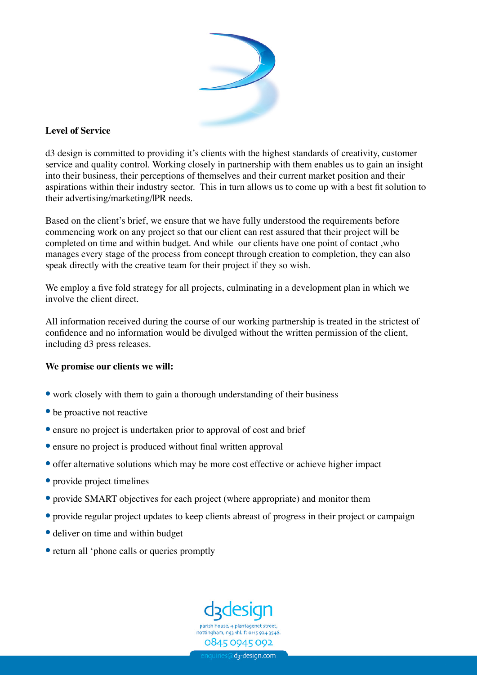

## **Level of Service**

d3 design is committed to providing it's clients with the highest standards of creativity, customer service and quality control. Working closely in partnership with them enables us to gain an insight into their business, their perceptions of themselves and their current market position and their aspirations within their industry sector. This in turn allows us to come up with a best fit solution to their advertising/marketing/|PR needs.

Based on the client's brief, we ensure that we have fully understood the requirements before commencing work on any project so that our client can rest assured that their project will be completed on time and within budget. And while our clients have one point of contact ,who manages every stage of the process from concept through creation to completion, they can also speak directly with the creative team for their project if they so wish.

We employ a five fold strategy for all projects, culminating in a development plan in which we involve the client direct.

All information received during the course of our working partnership is treated in the strictest of confidence and no information would be divulged without the written permission of the client, including d3 press releases.

## **We promise our clients we will:**

- work closely with them to gain a thorough understanding of their business
- be proactive not reactive
- ensure no project is undertaken prior to approval of cost and brief
- ensure no project is produced without final written approval
- offer alternative solutions which may be more cost effective or achieve higher impact
- provide project timelines
- provide SMART objectives for each project (where appropriate) and monitor them
- provide regular project updates to keep clients abreast of progress in their project or campaign
- deliver on time and within budget
- return all 'phone calls or queries promptly



nottingham, ng3 1hl. f: 0115 924 3546 0845 0945 092

mquiries@d<sub>3</sub>-design.com